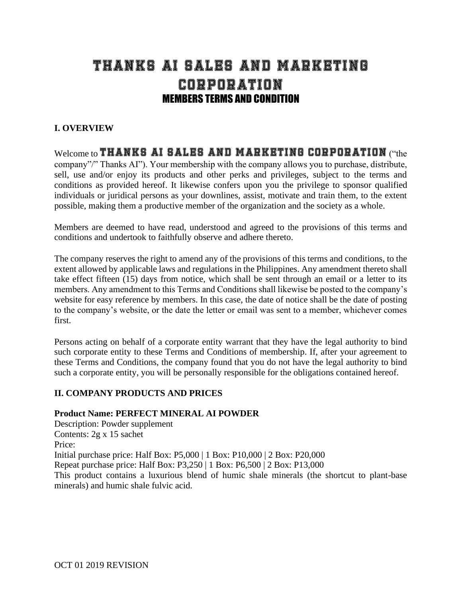# THANKS AI SALES AND MARKETING Corporation MEMBERS TERMS AND CONDITION

# **I. OVERVIEW**

# Welcome to THANKS AI SALES AND MARKETING CORPORATION ("the

company"/" Thanks AI"). Your membership with the company allows you to purchase, distribute, sell, use and/or enjoy its products and other perks and privileges, subject to the terms and conditions as provided hereof. It likewise confers upon you the privilege to sponsor qualified individuals or juridical persons as your downlines, assist, motivate and train them, to the extent possible, making them a productive member of the organization and the society as a whole.

Members are deemed to have read, understood and agreed to the provisions of this terms and conditions and undertook to faithfully observe and adhere thereto.

The company reserves the right to amend any of the provisions of this terms and conditions, to the extent allowed by applicable laws and regulations in the Philippines. Any amendment thereto shall take effect fifteen (15) days from notice, which shall be sent through an email or a letter to its members. Any amendment to this Terms and Conditions shall likewise be posted to the company's website for easy reference by members. In this case, the date of notice shall be the date of posting to the company's website, or the date the letter or email was sent to a member, whichever comes first.

Persons acting on behalf of a corporate entity warrant that they have the legal authority to bind such corporate entity to these Terms and Conditions of membership. If, after your agreement to these Terms and Conditions, the company found that you do not have the legal authority to bind such a corporate entity, you will be personally responsible for the obligations contained hereof.

## **II. COMPANY PRODUCTS AND PRICES**

#### **Product Name: PERFECT MINERAL AI POWDER**

Description: Powder supplement Contents: 2g x 15 sachet Price: Initial purchase price: Half Box: P5,000 | 1 Box: P10,000 | 2 Box: P20,000 Repeat purchase price: Half Box: P3,250 | 1 Box: P6,500 | 2 Box: P13,000 This product contains a luxurious blend of humic shale minerals (the shortcut to plant-base minerals) and humic shale fulvic acid.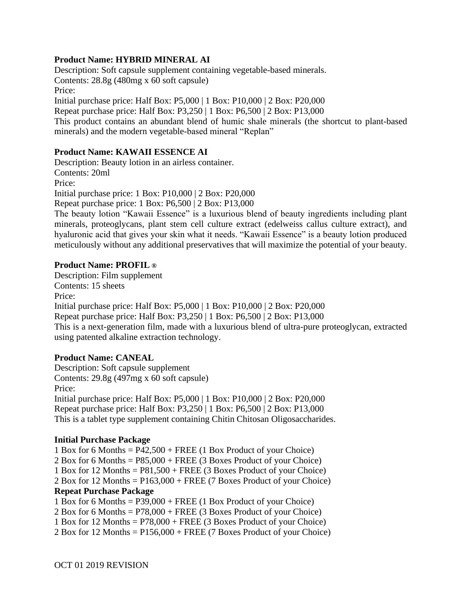## **Product Name: HYBRID MINERAL AI**

Description: Soft capsule supplement containing vegetable-based minerals. Contents: 28.8g (480mg x 60 soft capsule) Price: Initial purchase price: Half Box: P5,000 | 1 Box: P10,000 | 2 Box: P20,000 Repeat purchase price: Half Box: P3,250 | 1 Box: P6,500 | 2 Box: P13,000

This product contains an abundant blend of humic shale minerals (the shortcut to plant-based minerals) and the modern vegetable-based mineral "Replan"

## **Product Name: KAWAII ESSENCE AI**

Description: Beauty lotion in an airless container. Contents: 20ml Price: Initial purchase price: 1 Box: P10,000 | 2 Box: P20,000 Repeat purchase price: 1 Box: P6,500 | 2 Box: P13,000 The beauty lotion "Kawaii Essence" is a luxurious blend of beauty ingredients including plant minerals, proteoglycans, plant stem cell culture extract (edelweiss callus culture extract), and hyaluronic acid that gives your skin what it needs. "Kawaii Essence" is a beauty lotion produced meticulously without any additional preservatives that will maximize the potential of your beauty.

#### **Product Name: PROFIL ®**

Description: Film supplement Contents: 15 sheets Price: Initial purchase price: Half Box: P5,000 | 1 Box: P10,000 | 2 Box: P20,000 Repeat purchase price: Half Box: P3,250 | 1 Box: P6,500 | 2 Box: P13,000 This is a next-generation film, made with a luxurious blend of ultra-pure proteoglycan, extracted using patented alkaline extraction technology.

## **Product Name: CANEAL**

Description: Soft capsule supplement Contents: 29.8g (497mg x 60 soft capsule) Price: Initial purchase price: Half Box: P5,000 | 1 Box: P10,000 | 2 Box: P20,000 Repeat purchase price: Half Box: P3,250 | 1 Box: P6,500 | 2 Box: P13,000 This is a tablet type supplement containing Chitin Chitosan Oligosaccharides.

#### **Initial Purchase Package**

1 Box for 6 Months = P42,500 + FREE (1 Box Product of your Choice) 2 Box for 6 Months = P85,000 + FREE (3 Boxes Product of your Choice) 1 Box for 12 Months = P81,500 + FREE (3 Boxes Product of your Choice) 2 Box for 12 Months = P163,000 + FREE (7 Boxes Product of your Choice) **Repeat Purchase Package** 1 Box for 6 Months = P39,000 + FREE (1 Box Product of your Choice) 2 Box for 6 Months =  $P78,000 + \text{FREE}$  (3 Boxes Product of your Choice) 1 Box for 12 Months = P78,000 + FREE (3 Boxes Product of your Choice)

2 Box for 12 Months = P156,000 + FREE (7 Boxes Product of your Choice)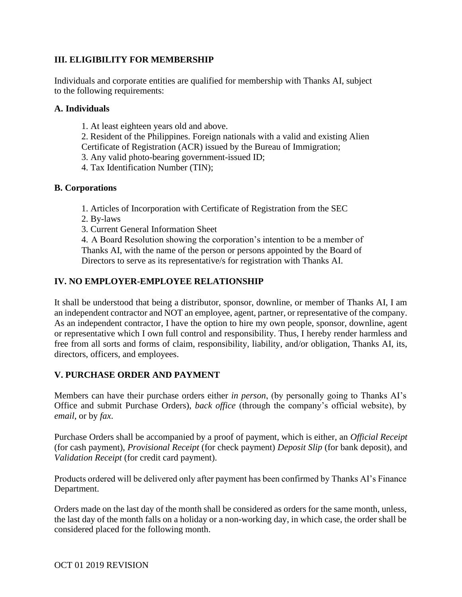# **III. ELIGIBILITY FOR MEMBERSHIP**

Individuals and corporate entities are qualified for membership with Thanks AI, subject to the following requirements:

## **A. Individuals**

- 1. At least eighteen years old and above.
- 2. Resident of the Philippines. Foreign nationals with a valid and existing Alien
- Certificate of Registration (ACR) issued by the Bureau of Immigration;
- 3. Any valid photo-bearing government-issued ID;
- 4. Tax Identification Number (TIN);

## **B. Corporations**

- 1. Articles of Incorporation with Certificate of Registration from the SEC
- 2. By-laws
- 3. Current General Information Sheet

4. A Board Resolution showing the corporation's intention to be a member of Thanks AI, with the name of the person or persons appointed by the Board of Directors to serve as its representative/s for registration with Thanks AI.

# **IV. NO EMPLOYER-EMPLOYEE RELATIONSHIP**

It shall be understood that being a distributor, sponsor, downline, or member of Thanks AI, I am an independent contractor and NOT an employee, agent, partner, or representative of the company. As an independent contractor, I have the option to hire my own people, sponsor, downline, agent or representative which I own full control and responsibility. Thus, I hereby render harmless and free from all sorts and forms of claim, responsibility, liability, and/or obligation, Thanks AI, its, directors, officers, and employees.

## **V. PURCHASE ORDER AND PAYMENT**

Members can have their purchase orders either *in person*, (by personally going to Thanks AI's Office and submit Purchase Orders), *back office* (through the company's official website), by *email*, or by *fax*.

Purchase Orders shall be accompanied by a proof of payment, which is either, an *Official Receipt*  (for cash payment), *Provisional Receipt* (for check payment) *Deposit Slip* (for bank deposit), and *Validation Receipt* (for credit card payment).

Products ordered will be delivered only after payment has been confirmed by Thanks AI's Finance Department.

Orders made on the last day of the month shall be considered as orders for the same month, unless, the last day of the month falls on a holiday or a non-working day, in which case, the order shall be considered placed for the following month.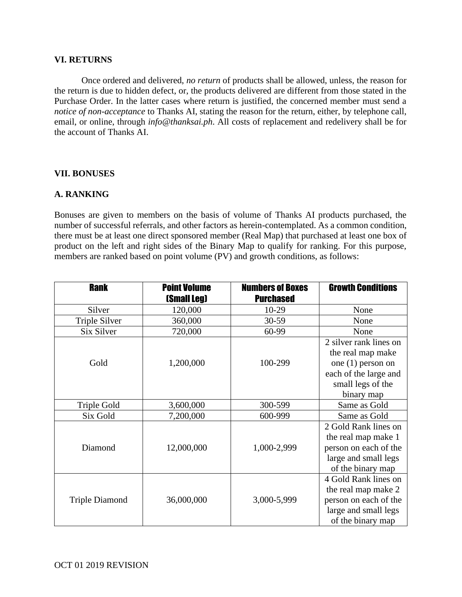#### **VI. RETURNS**

Once ordered and delivered, *no return* of products shall be allowed, unless, the reason for the return is due to hidden defect, or, the products delivered are different from those stated in the Purchase Order. In the latter cases where return is justified, the concerned member must send a *notice of non-acceptance* to Thanks AI, stating the reason for the return, either, by telephone call, email, or online, through *info@thanksai.ph*. All costs of replacement and redelivery shall be for the account of Thanks AI.

#### **VII. BONUSES**

#### **A. RANKING**

Bonuses are given to members on the basis of volume of Thanks AI products purchased, the number of successful referrals, and other factors as herein-contemplated. As a common condition, there must be at least one direct sponsored member (Real Map) that purchased at least one box of product on the left and right sides of the Binary Map to qualify for ranking. For this purpose, members are ranked based on point volume (PV) and growth conditions, as follows:

| <b>Rank</b>           | <b>Point Volume</b><br><b>(Small Leg)</b> | <b>Numbers of Boxes</b><br><b>Purchased</b> | <b>Growth Conditions</b>                                                                                                     |
|-----------------------|-------------------------------------------|---------------------------------------------|------------------------------------------------------------------------------------------------------------------------------|
| Silver                | 120,000                                   | 10-29                                       | None                                                                                                                         |
| Triple Silver         | 360,000                                   | 30-59                                       | None                                                                                                                         |
| Six Silver            | 720,000                                   | 60-99                                       | None                                                                                                                         |
| Gold                  | 1,200,000                                 | 100-299                                     | 2 silver rank lines on<br>the real map make<br>one (1) person on<br>each of the large and<br>small legs of the<br>binary map |
| Triple Gold           | 3,600,000                                 | 300-599                                     | Same as Gold                                                                                                                 |
| Six Gold              | 7,200,000                                 | 600-999                                     | Same as Gold                                                                                                                 |
| Diamond               | 12,000,000                                | 1,000-2,999                                 | 2 Gold Rank lines on<br>the real map make 1<br>person on each of the<br>large and small legs<br>of the binary map            |
| <b>Triple Diamond</b> | 36,000,000                                | 3,000-5,999                                 | 4 Gold Rank lines on<br>the real map make 2<br>person on each of the<br>large and small legs<br>of the binary map            |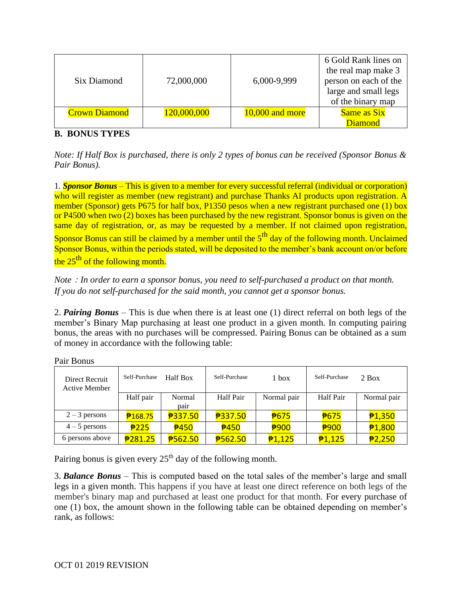| Six Diamond          | 72,000,000  | 6,000-9,999     | 6 Gold Rank lines on<br>the real map make 3<br>person on each of the<br>large and small legs<br>of the binary map |
|----------------------|-------------|-----------------|-------------------------------------------------------------------------------------------------------------------|
| <b>Crown Diamond</b> | 120,000,000 | 10,000 and more | <b>Same as Six</b>                                                                                                |
|                      |             |                 | <b>Diamond</b>                                                                                                    |

## **B. BONUS TYPES**

*Note: If Half Box is purchased, there is only 2 types of bonus can be received (Sponsor Bonus & Pair Bonus).*

1*. Sponsor Bonus* – This is given to a member for every successful referral (individual or corporation) who will register as member (new registrant) and purchase Thanks AI products upon registration. A member (Sponsor) gets P675 for half box, P1350 pesos when a new registrant purchased one (1) box or P4500 when two (2) boxes has been purchased by the new registrant. Sponsor bonus is given on the same day of registration, or, as may be requested by a member. If not claimed upon registration, Sponsor Bonus can still be claimed by a member until the  $5<sup>th</sup>$  day of the following month. Unclaimed Sponsor Bonus, within the periods stated, will be deposited to the member's bank account on/or before the  $25<sup>th</sup>$  of the following month.

*Note*:*In order to earn a sponsor bonus, you need to self-purchased a product on that month. If you do not self-purchased for the said month, you cannot get a sponsor bonus.*

2. *Pairing Bonus* – This is due when there is at least one (1) direct referral on both legs of the member's Binary Map purchasing at least one product in a given month. In computing pairing bonus, the areas with no purchases will be compressed. Pairing Bonus can be obtained as a sum of money in accordance with the following table:

| Direct Recruit<br>Active Member | Self-Purchase | Half Box    | Self-Purchase       | 1 box       | Self-Purchase    | $2$ Box       |
|---------------------------------|---------------|-------------|---------------------|-------------|------------------|---------------|
|                                 | Half pair     | Normal      | Half Pair           | Normal pair | <b>Half Pair</b> | Normal pair   |
|                                 |               | pair        |                     |             |                  |               |
| $2 - 3$ persons                 | 75            | ₱337.50     | ₱337.50             | <b>P675</b> | 75               | 71,350        |
| $4-5$ persons                   | 7225          | <b>2450</b> | <b>2450</b>         | <b>₱900</b> | <b>₱900</b>      | <b>£1,800</b> |
| 6 persons above                 | 7281.25       | ₱562.50     | <sup>₹</sup> 762.50 | 71,125      | 71,125           | 72,250        |

Pair Bonus

Pairing bonus is given every  $25<sup>th</sup>$  day of the following month.

3. *Balance Bonus* – This is computed based on the total sales of the member's large and small legs in a given month. This happens if you have at least one direct reference on both legs of the member's binary map and purchased at least one product for that month. For every purchase of one (1) box, the amount shown in the following table can be obtained depending on member's rank, as follows: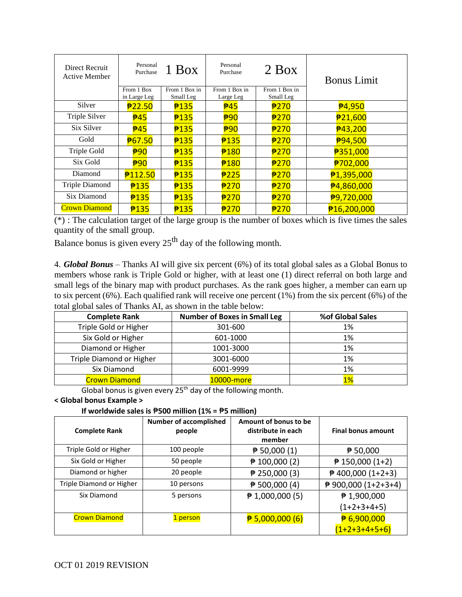| Direct Recruit<br>Active Member | Personal<br>Purchase       | 1 Box                      | Personal<br>Purchase       | $2$ Box                    | <b>Bonus Limit</b>     |
|---------------------------------|----------------------------|----------------------------|----------------------------|----------------------------|------------------------|
|                                 | From 1 Box<br>in Large Leg | From 1 Box in<br>Small Leg | From 1 Box in<br>Large Leg | From 1 Box in<br>Small Leg |                        |
| Silver                          | 722.50                     | 7135                       | $\frac{1}{2}45$            | <b>#270</b>                | <b>050</b><br>P4,950   |
| Triple Silver                   | $\frac{1}{2}45$            | 7135                       | <b>₱90</b>                 | ₱270                       | 721,600                |
| Six Silver                      | $\frac{1}{2}45$            | 7135                       | <b>₱90</b>                 | ₱270                       | <b>001+</b> 3,200      |
| Gold                            | <b>₱67.50</b>              | 7135                       | 7135                       | ₱270                       | <b>004,500</b>         |
| Triple Gold                     | $\frac{1}{2}90$            | 7135                       | 7180                       | ₱270                       | ₱351,000               |
| Six Gold                        | $\frac{1}{2}90$            | 7135                       | 7180                       | 7270                       | ₱702,000               |
| Diamond                         | <b>P112.50</b>             | 7135                       | P225                       | ₱270                       | <b>000 21,395,000</b>  |
| <b>Triple Diamond</b>           | 7135                       | 7135                       | 7270                       | <b>#270</b>                | <sup>₹</sup> 4,860,000 |
| Six Diamond                     | 7135                       | 7135                       | P270                       | ₱270                       | ₱9,720,000             |
| <b>Crown Diamond</b>            | 7135                       | 7135                       | 7270                       | ₱270                       | ₱16,200,000            |

(\*) : The calculation target of the large group is the number of boxes which is five times the sales quantity of the small group.

Balance bonus is given every  $25<sup>th</sup>$  day of the following month.

4. *Global Bonus* – Thanks AI will give six percent (6%) of its total global sales as a Global Bonus to members whose rank is Triple Gold or higher, with at least one (1) direct referral on both large and small legs of the binary map with product purchases. As the rank goes higher, a member can earn up to six percent (6%). Each qualified rank will receive one percent (1%) from the six percent (6%) of the total global sales of Thanks AI, as shown in the table below:

| <b>Complete Rank</b>     | <b>Number of Boxes in Small Leg</b> | %of Global Sales |
|--------------------------|-------------------------------------|------------------|
| Triple Gold or Higher    | 301-600                             | 1%               |
| Six Gold or Higher       | 601-1000                            | 1%               |
| Diamond or Higher        | 1001-3000                           | 1%               |
| Triple Diamond or Higher | 3001-6000                           | 1%               |
| Six Diamond              | 6001-9999                           | 1%               |
| <b>Crown Diamond</b>     | 10000-more                          | $1\%$            |

Global bonus is given every  $25<sup>th</sup>$  day of the following month.

#### **< Global bonus Example >**

**If worldwide sales is** ₱**500 million (1% =** ₱**5 million)**

| <b>Complete Rank</b>     | <b>Number of accomplished</b><br>people | Amount of bonus to be<br>distribute in each<br>member | <b>Final bonus amount</b> |
|--------------------------|-----------------------------------------|-------------------------------------------------------|---------------------------|
| Triple Gold or Higher    | 100 people                              | $\sqrt{2}$ 50,000 (1)                                 | ▶ 50,000                  |
| Six Gold or Higher       | 50 people                               | $\neq$ 100,000 (2)                                    | $\sqrt{2}$ 150,000 (1+2)  |
| Diamond or higher        | 20 people                               | $\neq$ 250,000 (3)                                    | $\neq$ 400,000 (1+2+3)    |
| Triple Diamond or Higher | 10 persons                              | $\sqrt{2}$ 500,000 (4)                                | ₱ 900,000 (1+2+3+4)       |
| Six Diamond              | 5 persons                               | $\pmb{\triangleright}$ 1,000,000 (5)                  | # 1,900,000               |
|                          |                                         |                                                       | $(1+2+3+4+5)$             |
| <b>Crown Diamond</b>     | 1 person                                | $\frac{1}{2}$ 5,000,000 (6)                           | $\frac{11}{6}$ 6,900,000  |
|                          |                                         |                                                       | $(1+2+3+4+5+6)$           |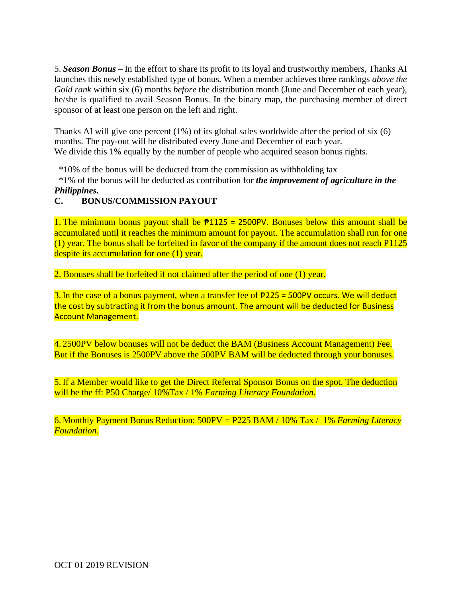5. *Season Bonus* – In the effort to share its profit to its loyal and trustworthy members, Thanks AI launches this newly established type of bonus. When a member achieves three rankings *above the Gold rank* within six (6) months *before* the distribution month (June and December of each year), he/she is qualified to avail Season Bonus. In the binary map, the purchasing member of direct sponsor of at least one person on the left and right.

Thanks AI will give one percent (1%) of its global sales worldwide after the period of six (6) months. The pay-out will be distributed every June and December of each year. We divide this 1% equally by the number of people who acquired season bonus rights.

\*10% of the bonus will be deducted from the commission as withholding tax

\*1% of the bonus will be deducted as contribution for *the improvement of agriculture in the Philippines.*

# **C. BONUS/COMMISSION PAYOUT**

1. The minimum bonus payout shall be  $\frac{1}{2}1125 = 2500$  PV. Bonuses below this amount shall be accumulated until it reaches the minimum amount for payout. The accumulation shall run for one (1) year. The bonus shall be forfeited in favor of the company if the amount does not reach P1125 despite its accumulation for one (1) year.

2. Bonuses shall be forfeited if not claimed after the period of one (1) year.

3. In the case of a bonus payment, when a transfer fee of  $\frac{1}{225}$  = 500PV occurs. We will deduct the cost by subtracting it from the bonus amount. The amount will be deducted for Business Account Management.

4. 2500PV below bonuses will not be deduct the BAM (Business Account Management) Fee. But if the Bonuses is 2500PV above the 500PV BAM will be deducted through your bonuses.

5. If a Member would like to get the Direct Referral Sponsor Bonus on the spot. The deduction will be the ff: P50 Charge/ 10%Tax / 1% *Farming Literacy Foundation*.

6. Monthly Payment Bonus Reduction: 500PV = P225 BAM / 10% Tax / 1% *Farming Literacy Foundation*.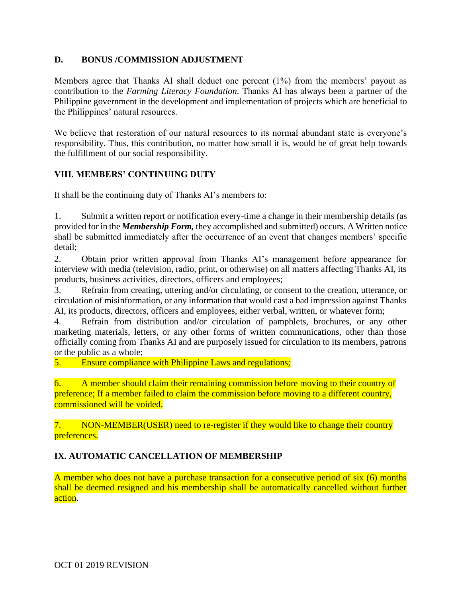## **D. BONUS /COMMISSION ADJUSTMENT**

Members agree that Thanks AI shall deduct one percent (1%) from the members' payout as contribution to the *Farming Literacy Foundation*. Thanks AI has always been a partner of the Philippine government in the development and implementation of projects which are beneficial to the Philippines' natural resources.

We believe that restoration of our natural resources to its normal abundant state is everyone's responsibility. Thus, this contribution, no matter how small it is, would be of great help towards the fulfillment of our social responsibility.

## **VIII. MEMBERS' CONTINUING DUTY**

It shall be the continuing duty of Thanks AI's members to:

1. Submit a written report or notification every-time a change in their membership details (as provided for in the *Membership Form,* they accomplished and submitted) occurs. A Written notice shall be submitted immediately after the occurrence of an event that changes members' specific detail;

2. Obtain prior written approval from Thanks AI's management before appearance for interview with media (television, radio, print, or otherwise) on all matters affecting Thanks AI, its products, business activities, directors, officers and employees;

3. Refrain from creating, uttering and/or circulating, or consent to the creation, utterance, or circulation of misinformation, or any information that would cast a bad impression against Thanks AI, its products, directors, officers and employees, either verbal, written, or whatever form;

4. Refrain from distribution and/or circulation of pamphlets, brochures, or any other marketing materials, letters, or any other forms of written communications, other than those officially coming from Thanks AI and are purposely issued for circulation to its members, patrons or the public as a whole;

5. Ensure compliance with Philippine Laws and regulations;

6. A member should claim their remaining commission before moving to their country of preference; If a member failed to claim the commission before moving to a different country, commissioned will be voided.

## 7. NON-MEMBER(USER) need to re-register if they would like to change their country preferences.

# **IX. AUTOMATIC CANCELLATION OF MEMBERSHIP**

A member who does not have a purchase transaction for a consecutive period of six (6) months shall be deemed resigned and his membership shall be automatically cancelled without further action.